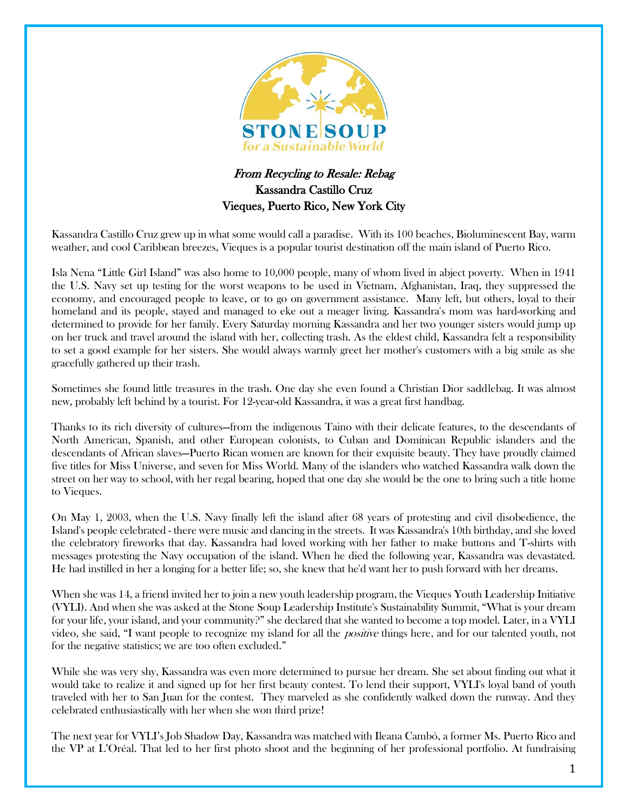

## From Recycling to Resale: Rebag Kassandra Castillo Cruz Vieques, Puerto Rico, New York City

Kassandra Castillo Cruz grew up in what some would call a paradise. With its 100 beaches, Bioluminescent Bay, warm weather, and cool Caribbean breezes, Vieques is a popular tourist destination off the main island of Puerto Rico.

Isla Nena "Little Girl Island" was also home to 10,000 people, many of whom lived in abject poverty. When in 1941 the U.S. Navy set up testing for the worst weapons to be used in Vietnam, Afghanistan, Iraq, they suppressed the economy, and encouraged people to leave, or to go on government assistance. Many left, but others, loyal to their homeland and its people, stayed and managed to eke out a meager living. Kassandra's mom was hard-working and determined to provide for her family. Every Saturday morning Kassandra and her two younger sisters would jump up on her truck and travel around the island with her, collecting trash. As the eldest child, Kassandra felt a responsibility to set a good example for her sisters. She would always warmly greet her mother's customers with a big smile as she gracefully gathered up their trash.

Sometimes she found little treasures in the trash. One day she even found a Christian Dior saddlebag. It was almost new, probably left behind by a tourist. For 12-year-old Kassandra, it was a great first handbag.

Thanks to its rich diversity of cultures—from the indigenous Taino with their delicate features, to the descendants of North American, Spanish, and other European colonists, to Cuban and Dominican Republic islanders and the descendants of African slaves—Puerto Rican women are known for their exquisite beauty. They have proudly claimed five titles for Miss Universe, and seven for Miss World. Many of the islanders who watched Kassandra walk down the street on her way to school, with her regal bearing, hoped that one day she would be the one to bring such a title home to Vieques.

On May 1, 2003, when the U.S. Navy finally left the island after 68 years of protesting and civil disobedience, the Island's people celebrated - there were music and dancing in the streets. It was Kassandra's 10th birthday, and she loved the celebratory fireworks that day. Kassandra had loved working with her father to make buttons and T-shirts with messages protesting the Navy occupation of the island. When he died the following year, Kassandra was devastated. He had instilled in her a longing for a better life; so, she knew that he'd want her to push forward with her dreams.

When she was 14, a friend invited her to join a new youth leadership program, the Vieques Youth Leadership Initiative (VYLI). And when she was asked at the Stone Soup Leadership Institute's Sustainability Summit, "What is your dream for your life, your island, and your community?" she declared that she wanted to become a top model. Later, in a VYLI video, she said, "I want people to recognize my island for all the positive things here, and for our talented youth, not for the negative statistics; we are too often excluded."

While she was very shy, Kassandra was even more determined to pursue her dream. She set about finding out what it would take to realize it and signed up for her first beauty contest. To lend their support, VYLI's loyal band of youth traveled with her to San Juan for the contest. They marveled as she confidently walked down the runway. And they celebrated enthusiastically with her when she won third prize!

The next year for VYLI's Job Shadow Day, Kassandra was matched with Ileana Cambó, a former Ms. Puerto Rico and the VP at L'Oréal. That led to her first photo shoot and the beginning of her professional portfolio. At fundraising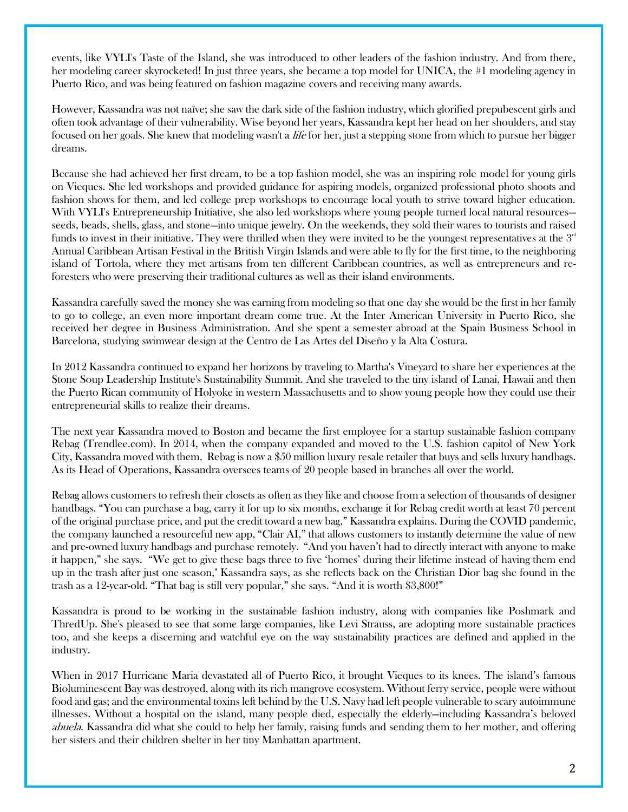events, like VYLI's Taste of the Island, she was introduced to other leaders of the fashion industry. And from there, her modeling career skyrocketed! In just three years, she became a top model for UNICA, the #1 modeling agency in Puerto Rico, and was being featured on fashion magazine covers and receiving many awards.

However, Kassandra was not naïve; she saw the dark side of the fashion industry, which glorified prepubescent girls and often took advantage of their vulnerability. Wise beyond her years, Kassandra kept her head on her shoulders, and stay focused on her goals. She knew that modeling wasn't a *life* for her, just a stepping stone from which to pursue her bigger dreams.

Because she had achieved her first dream, to be a top fashion model, she was an inspiring role model for young girls on Vieques. She led workshops and provided guidance for aspiring models, organized professional photo shoots and fashion shows for them, and led college prep workshops to encourage local youth to strive toward higher education. With VYLI's Entrepreneurship Initiative, she also led workshops where young people turned local natural resources seeds, beads, shells, glass, and stone—into unique jewelry. On the weekends, they sold their wares to tourists and raised funds to invest in their initiative. They were thrilled when they were invited to be the youngest representatives at the  $3<sup>rd</sup>$ Annual Caribbean Artisan Festival in the British Virgin Islands and were able to fly for the first time, to the neighboring island of Tortola, where they met artisans from ten different Caribbean countries, as well as entrepreneurs and reforesters who were preserving their traditional cultures as well as their island environments.

Kassandra carefully saved the money she was earning from modeling so that one day she would be the first in her family to go to college, an even more important dream come true. At the Inter American University in Puerto Rico, she received her degree in Business Administration. And she spent a semester abroad at the Spain Business School in Barcelona, studying swimwear design at the Centro de Las Artes del Diseño y la Alta Costura.

In 2012 Kassandra continued to expand her horizons by traveling to Martha's Vineyard to share her experiences at the Stone Soup Leadership Institute's Sustainability Summit. And she traveled to the tiny island of Lanai, Hawaii and then the Puerto Rican community of Holyoke in western Massachusetts and to show young people how they could use their entrepreneurial skills to realize their dreams.

The next year Kassandra moved to Boston and became the first employee for a startup sustainable fashion company Rebag (Trendlee.com). In 2014, when the company expanded and moved to the U.S. fashion capitol of New York City, Kassandra moved with them. Rebag is now a \$50 million luxury resale retailer that buys and sells luxury handbags. As its Head of Operations, Kassandra oversees teams of 20 people based in branches all over the world.

Rebag allows customers to refresh their closets as often as they like and choose from a selection of thousands of designer handbags. "You can purchase a bag, carry it for up to six months, exchange it for Rebag credit worth at least 70 percent of the original purchase price, and put the credit toward a new bag," Kassandra explains. During the COVID pandemic, the company launched a resourceful new app, "Clair AI," that allows customers to instantly determine the value of new and pre-owned luxury handbags and purchase remotely. "And you haven't had to directly interact with anyone to make it happen," she says. "We get to give these bags three to five 'homes' during their lifetime instead of having them end up in the trash after just one season," Kassandra says, as she reflects back on the Christian Dior bag she found in the trash as a 12-year-old. "That bag is still very popular," she says. "And it is worth \$3,800!"

Kassandra is proud to be working in the sustainable fashion industry, along with companies like Poshmark and ThredUp. She's pleased to see that some large companies, like Levi Strauss, are adopting more sustainable practices too, and she keeps a discerning and watchful eye on the way sustainability practices are defined and applied in the industry.

When in 2017 Hurricane Maria devastated all of Puerto Rico, it brought Vieques to its knees. The island's famous Bioluminescent Bay was destroyed, along with its rich mangrove ecosystem. Without ferry service, people were without food and gas; and the environmental toxins left behind by the U.S. Navy had left people vulnerable to scary autoimmune illnesses. Without a hospital on the island, many people died, especially the elderly—including Kassandra's beloved abuela. Kassandra did what she could to help her family, raising funds and sending them to her mother, and offering her sisters and their children shelter in her tiny Manhattan apartment.